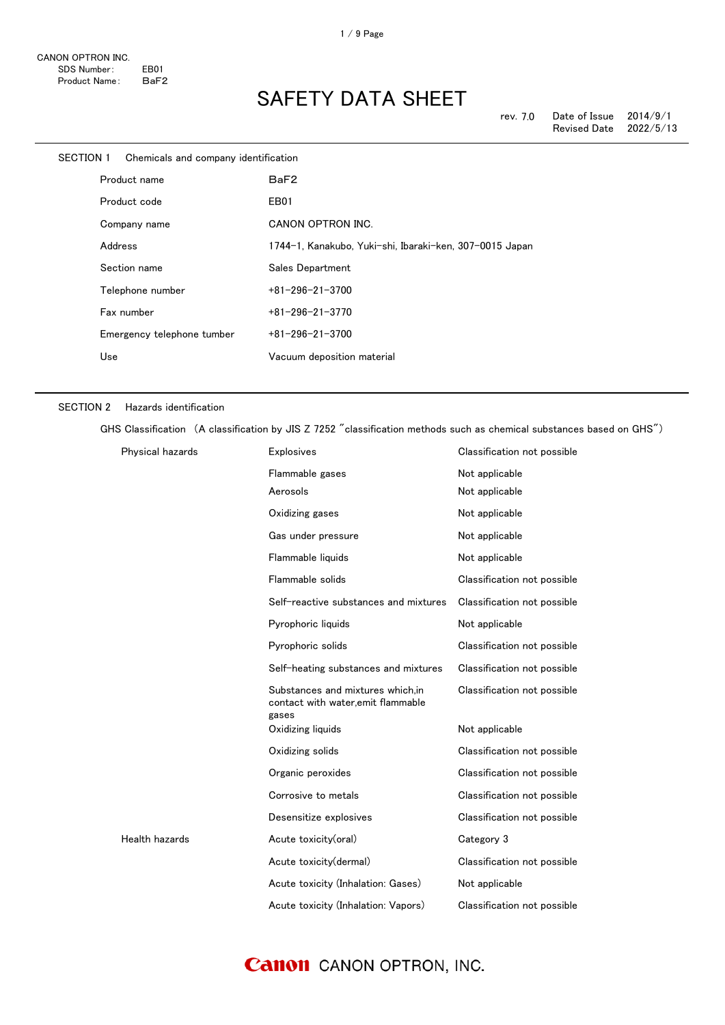| SECTION 1 | Chemicals and company identification |                                                         |
|-----------|--------------------------------------|---------------------------------------------------------|
|           | Product name                         | BaF2                                                    |
|           | Product code                         | EB01                                                    |
|           | Company name                         | CANON OPTRON INC.                                       |
|           | Address                              | 1744-1, Kanakubo, Yuki-shi, Ibaraki-ken, 307-0015 Japan |
|           | Section name                         | Sales Department                                        |
|           | Telephone number                     | $+81 - 296 - 21 - 3700$                                 |
|           | Fax number                           | $+81 - 296 - 21 - 3770$                                 |
|           | Emergency telephone tumber           | $+81 - 296 - 21 - 3700$                                 |
|           | Use                                  | Vacuum deposition material                              |
|           |                                      |                                                         |

## SECTION 2 Hazards identification

GHS Classification (A classification by JIS Z 7252 "classification methods such as chemical substances based on GHS")

| Physical hazards | <b>Explosives</b>                                                                | Classification not possible |
|------------------|----------------------------------------------------------------------------------|-----------------------------|
|                  | Flammable gases                                                                  | Not applicable              |
|                  | Aerosols                                                                         | Not applicable              |
|                  | Oxidizing gases                                                                  | Not applicable              |
|                  | Gas under pressure                                                               | Not applicable              |
|                  | Flammable liquids                                                                | Not applicable              |
|                  | Flammable solids                                                                 | Classification not possible |
|                  | Self-reactive substances and mixtures                                            | Classification not possible |
|                  | Pyrophoric liquids                                                               | Not applicable              |
|                  | Pyrophoric solids                                                                | Classification not possible |
|                  | Self-heating substances and mixtures                                             | Classification not possible |
|                  | Substances and mixtures which, in<br>contact with water, emit flammable<br>gases | Classification not possible |
|                  | Oxidizing liquids                                                                | Not applicable              |
|                  | Oxidizing solids                                                                 | Classification not possible |
|                  | Organic peroxides                                                                | Classification not possible |
|                  | Corrosive to metals                                                              | Classification not possible |
|                  | Desensitize explosives                                                           | Classification not possible |
| Health hazards   | Acute toxicity(oral)                                                             | Category 3                  |
|                  | Acute toxicity(dermal)                                                           | Classification not possible |
|                  | Acute toxicity (Inhalation: Gases)                                               | Not applicable              |
|                  | Acute toxicity (Inhalation: Vapors)                                              | Classification not possible |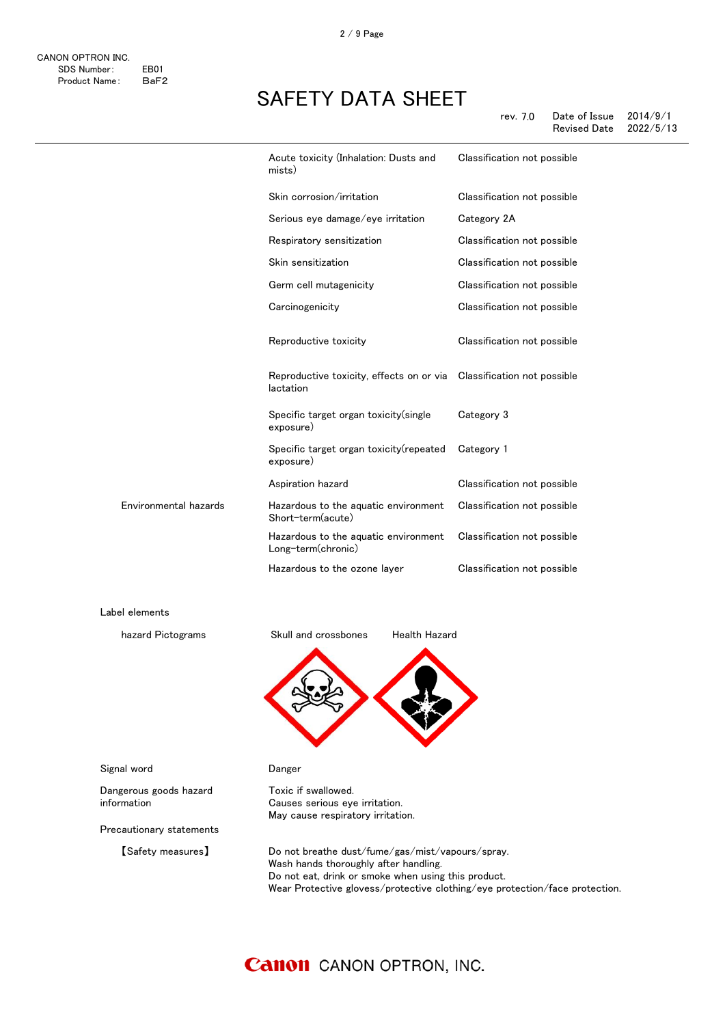2 / 9 Page

|                       | Acute toxicity (Inhalation: Dusts and<br>mists)                                   | Classification not possible |
|-----------------------|-----------------------------------------------------------------------------------|-----------------------------|
|                       | Skin corrosion/irritation                                                         | Classification not possible |
|                       | Serious eye damage/eye irritation                                                 | Category 2A                 |
|                       | Respiratory sensitization                                                         | Classification not possible |
|                       | Skin sensitization                                                                | Classification not possible |
|                       | Germ cell mutagenicity                                                            | Classification not possible |
|                       | Carcinogenicity                                                                   | Classification not possible |
|                       | Reproductive toxicity                                                             | Classification not possible |
|                       | Reproductive toxicity, effects on or via Classification not possible<br>lactation |                             |
|                       | Specific target organ toxicity (single<br>exposure)                               | Category 3                  |
|                       | Specific target organ toxicity (repeated<br>exposure)                             | Category 1                  |
|                       | Aspiration hazard                                                                 | Classification not possible |
| Environmental hazards | Hazardous to the aquatic environment<br>Short-term(acute)                         | Classification not possible |
|                       | Hazardous to the aquatic environment<br>Long-term(chronic)                        | Classification not possible |
|                       | Hazardous to the ozone layer                                                      | Classification not possible |

Label elements



Toxic if swallowed.

Causes serious eye irritation. May cause respiratory irritation.



Signal word **Danger** 

Dangerous goods hazard information

Precautionary statements

【Safety measures】 Do not breathe dust/fume/gas/mist/vapours/spray. Wash hands thoroughly after handling. Do not eat, drink or smoke when using this product. Wear Protective glovess/protective clothing/eye protection/face protection.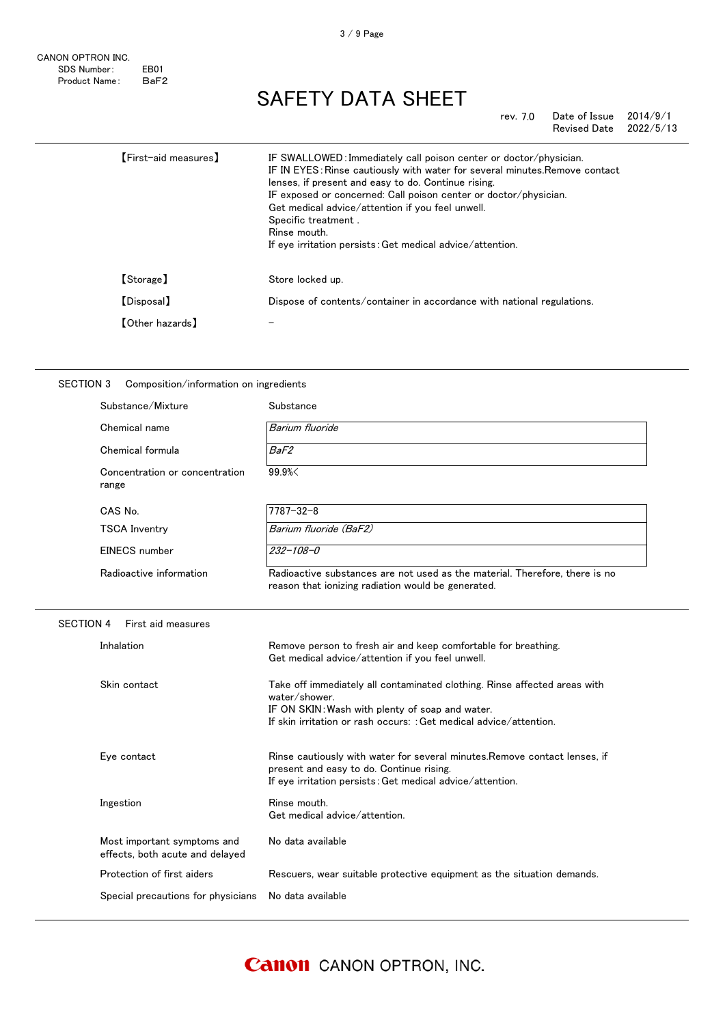## rev. 7.0 Date of Issue 2014/9/1 Revised Date

| [First-aid measures]   | IF SWALLOWED: Immediately call poison center or doctor/physician.<br>IF IN EYES: Rinse cautiously with water for several minutes. Remove contact<br>lenses, if present and easy to do. Continue rising.<br>IF exposed or concerned: Call poison center or doctor/physician.<br>Get medical advice/attention if you feel unwell.<br>Specific treatment.<br>Rinse mouth.<br>If eye irritation persists: Get medical advice/attention. |
|------------------------|-------------------------------------------------------------------------------------------------------------------------------------------------------------------------------------------------------------------------------------------------------------------------------------------------------------------------------------------------------------------------------------------------------------------------------------|
| [Storage]              | Store locked up.                                                                                                                                                                                                                                                                                                                                                                                                                    |
| [Disposal]             | Dispose of contents/container in accordance with national regulations.                                                                                                                                                                                                                                                                                                                                                              |
| <b>[Other hazards]</b> |                                                                                                                                                                                                                                                                                                                                                                                                                                     |
|                        |                                                                                                                                                                                                                                                                                                                                                                                                                                     |

## SECTION 3 Composition/information on ingredients

| Substance/Mixture                                              | Substance                                                                                                                                                                                                           |
|----------------------------------------------------------------|---------------------------------------------------------------------------------------------------------------------------------------------------------------------------------------------------------------------|
| Chemical name                                                  | Barium fluoride                                                                                                                                                                                                     |
| Chemical formula                                               | BaF2                                                                                                                                                                                                                |
| Concentration or concentration<br>range                        | 99.9%                                                                                                                                                                                                               |
| CAS No.                                                        | $7787 - 32 - 8$                                                                                                                                                                                                     |
| <b>TSCA Inventry</b>                                           | Barium fluoride (BaF2)                                                                                                                                                                                              |
| EINECS number                                                  | $232 - 108 - 0$                                                                                                                                                                                                     |
| Radioactive information                                        | Radioactive substances are not used as the material. Therefore, there is no<br>reason that ionizing radiation would be generated.                                                                                   |
| <b>SECTION 4</b><br>First aid measures                         |                                                                                                                                                                                                                     |
| Inhalation                                                     | Remove person to fresh air and keep comfortable for breathing.<br>Get medical advice/attention if you feel unwell.                                                                                                  |
| Skin contact                                                   | Take off immediately all contaminated clothing. Rinse affected areas with<br>water/shower.<br>IF ON SKIN: Wash with plenty of soap and water.<br>If skin irritation or rash occurs: : Get medical advice/attention. |
| Eye contact                                                    | Rinse cautiously with water for several minutes. Remove contact lenses, if<br>present and easy to do. Continue rising.<br>If eye irritation persists: Get medical advice/attention.                                 |
| Ingestion                                                      | Rinse mouth.<br>Get medical advice/attention.                                                                                                                                                                       |
| Most important symptoms and<br>effects, both acute and delayed | No data available                                                                                                                                                                                                   |
| Protection of first aiders                                     | Rescuers, wear suitable protective equipment as the situation demands.                                                                                                                                              |
| Special precautions for physicians                             | No data available                                                                                                                                                                                                   |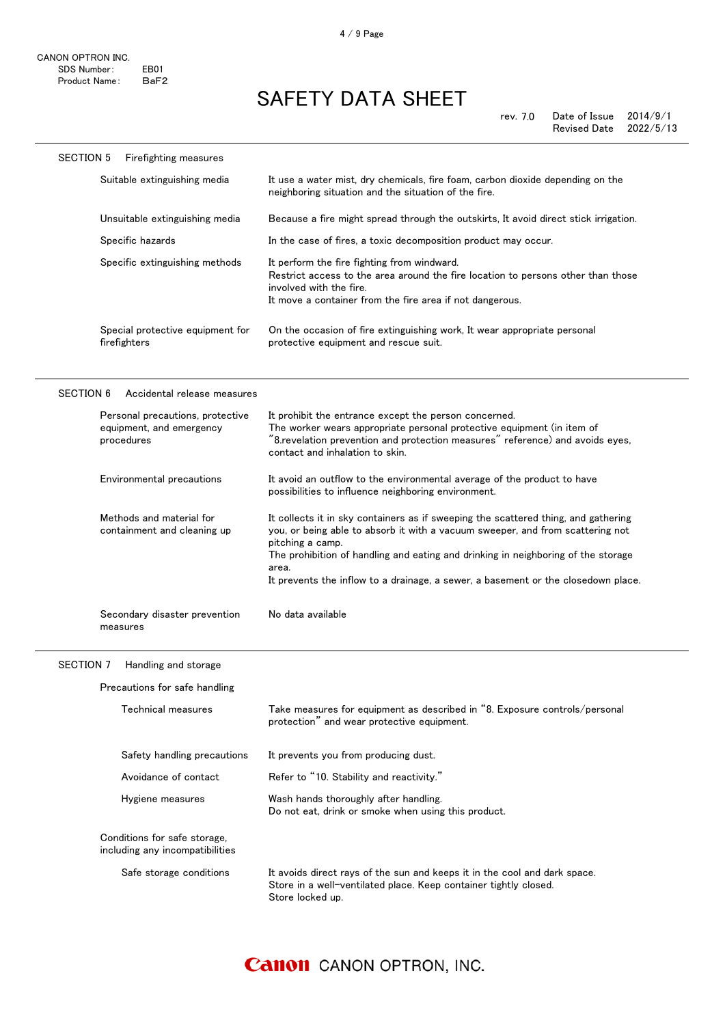SECTION 5 Firefighting measures

# SAFETY DATA SHEET

|                  | Suitable extinguishing media                                               | It use a water mist, dry chemicals, fire foam, carbon dioxide depending on the<br>neighboring situation and the situation of the fire.                                                                                                                                                                                                                                      |
|------------------|----------------------------------------------------------------------------|-----------------------------------------------------------------------------------------------------------------------------------------------------------------------------------------------------------------------------------------------------------------------------------------------------------------------------------------------------------------------------|
|                  | Unsuitable extinguishing media                                             | Because a fire might spread through the outskirts, It avoid direct stick irrigation.                                                                                                                                                                                                                                                                                        |
|                  | Specific hazards                                                           | In the case of fires, a toxic decomposition product may occur.                                                                                                                                                                                                                                                                                                              |
|                  | Specific extinguishing methods                                             | It perform the fire fighting from windward.<br>Restrict access to the area around the fire location to persons other than those<br>involved with the fire.<br>It move a container from the fire area if not dangerous.                                                                                                                                                      |
|                  | Special protective equipment for<br>firefighters                           | On the occasion of fire extinguishing work, It wear appropriate personal<br>protective equipment and rescue suit.                                                                                                                                                                                                                                                           |
| <b>SECTION 6</b> | Accidental release measures                                                |                                                                                                                                                                                                                                                                                                                                                                             |
|                  | Personal precautions, protective<br>equipment, and emergency<br>procedures | It prohibit the entrance except the person concerned.<br>The worker wears appropriate personal protective equipment (in item of<br>"8.revelation prevention and protection measures" reference) and avoids eyes,<br>contact and inhalation to skin.                                                                                                                         |
|                  | Environmental precautions                                                  | It avoid an outflow to the environmental average of the product to have<br>possibilities to influence neighboring environment.                                                                                                                                                                                                                                              |
|                  | Methods and material for<br>containment and cleaning up                    | It collects it in sky containers as if sweeping the scattered thing, and gathering<br>you, or being able to absorb it with a vacuum sweeper, and from scattering not<br>pitching a camp.<br>The prohibition of handling and eating and drinking in neighboring of the storage<br>area.<br>It prevents the inflow to a drainage, a sewer, a basement or the closedown place. |
|                  | Secondary disaster prevention<br>measures                                  | No data available                                                                                                                                                                                                                                                                                                                                                           |
| SECTION 7        | Handling and storage                                                       |                                                                                                                                                                                                                                                                                                                                                                             |
|                  | Precautions for safe handling                                              |                                                                                                                                                                                                                                                                                                                                                                             |
|                  | Technical measures                                                         | Take measures for equipment as described in "8. Exposure controls/personal<br>protection" and wear protective equipment.                                                                                                                                                                                                                                                    |
|                  | Safety handling precautions                                                | It prevents you from producing dust.                                                                                                                                                                                                                                                                                                                                        |
|                  | Avoidance of contact                                                       | Refer to "10. Stability and reactivity."                                                                                                                                                                                                                                                                                                                                    |
|                  | Hygiene measures                                                           | Wash hands thoroughly after handling.<br>Do not eat, drink or smoke when using this product.                                                                                                                                                                                                                                                                                |
|                  | Conditions for safe storage,<br>including any incompatibilities            |                                                                                                                                                                                                                                                                                                                                                                             |
|                  | Safe storage conditions                                                    | It avoids direct rays of the sun and keeps it in the cool and dark space.<br>Store in a well-ventilated place. Keep container tightly closed.<br>Store locked up.                                                                                                                                                                                                           |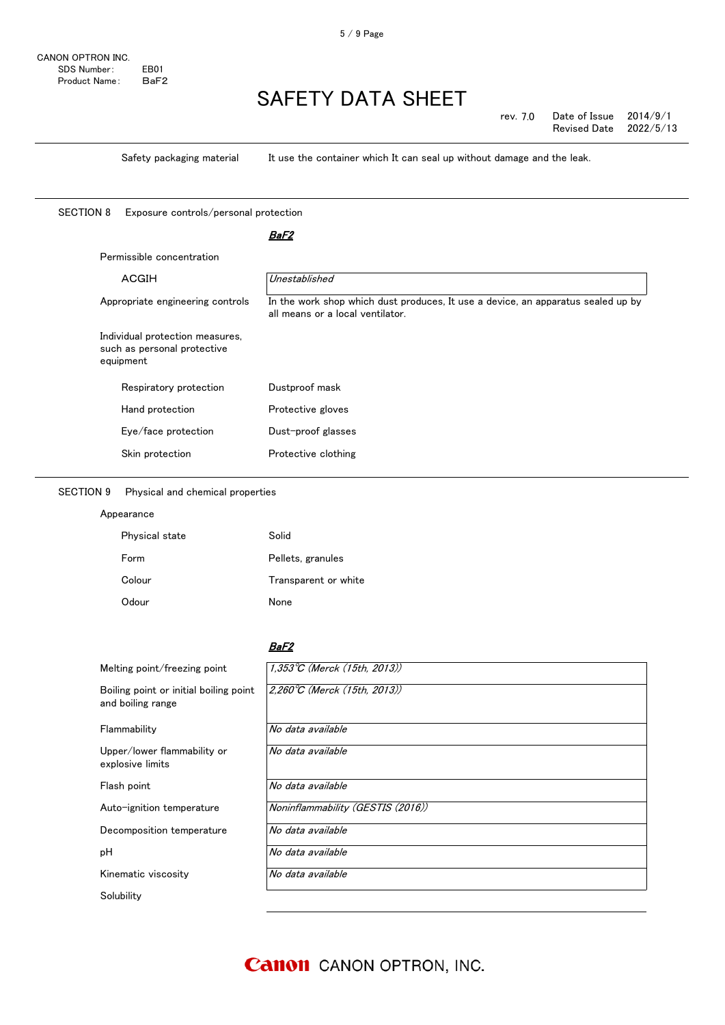rev. 7.0 Date of Issue 2014/9/1 Revised Date

Safety packaging material It use the container which It can seal up without damage and the leak.

SECTION 8 Exposure controls/personal protection

## <u>BaF2</u>

| ACGIH                                                                       | Unestablished                                                                                                        |
|-----------------------------------------------------------------------------|----------------------------------------------------------------------------------------------------------------------|
| Appropriate engineering controls                                            | In the work shop which dust produces, It use a device, an apparatus sealed up by<br>all means or a local ventilator. |
| Individual protection measures,<br>such as personal protective<br>equipment |                                                                                                                      |
|                                                                             |                                                                                                                      |
| Respiratory protection                                                      | Dustproof mask                                                                                                       |
| Hand protection                                                             | Protective gloves                                                                                                    |
| Eye/face protection                                                         | Dust-proof glasses                                                                                                   |

## SECTION 9 Physical and chemical properties

Appearance

| Physical state | Solid                |
|----------------|----------------------|
| Form           | Pellets, granules    |
| Colour         | Transparent or white |
| Odour          | None                 |

## BaF2

| Melting point/freezing point                                | $1,353^{\circ}C$ (Merck (15th, 2013))  |
|-------------------------------------------------------------|----------------------------------------|
| Boiling point or initial boiling point<br>and boiling range | $2,260^{\circ}$ C (Merck (15th, 2013)) |
| Flammability                                                | No data available                      |
| Upper/lower flammability or<br>explosive limits             | No data available                      |
| Flash point                                                 | No data available                      |
| Auto-ignition temperature                                   | Noninflammability (GESTIS (2016))      |
| Decomposition temperature                                   | No data available                      |
| pН                                                          | No data available                      |
| Kinematic viscosity                                         | No data available                      |
| Solubility                                                  |                                        |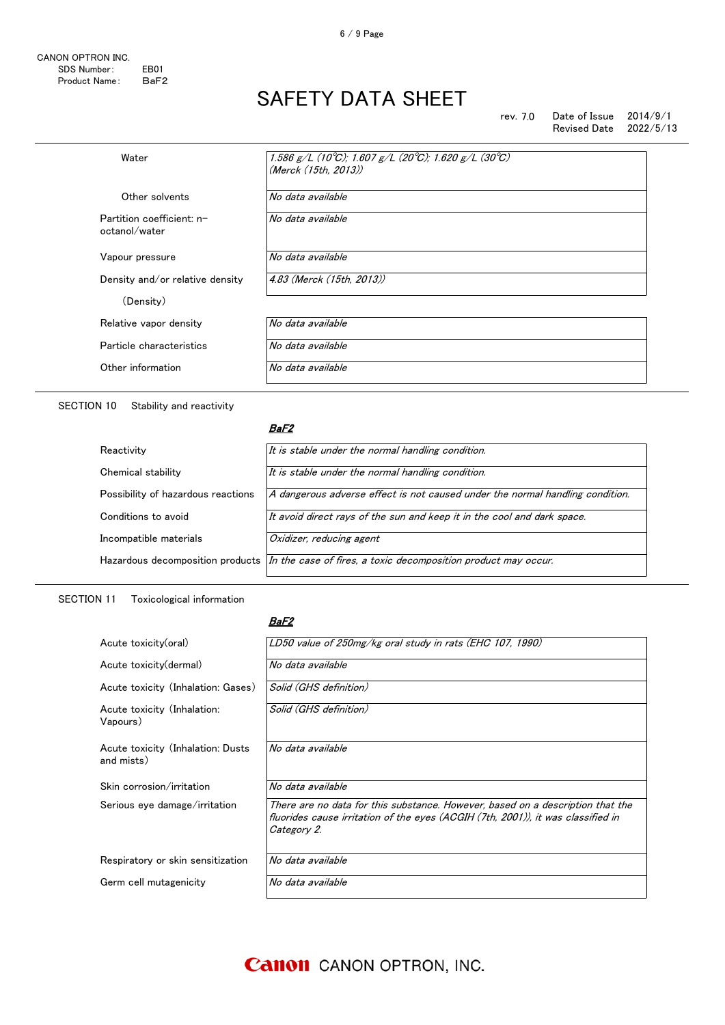6 / 9 Page

rev. 7.0 Date of Issue 2014/9/1 Revised Date

| Water                                      | 1.586 g/L (10°C); 1.607 g/L (20°C); 1.620 g/L (30°C)<br>(Merck (15th. 2013)) |
|--------------------------------------------|------------------------------------------------------------------------------|
| Other solvents                             | No data available                                                            |
| Partition coefficient: n-<br>octanol/water | No data available                                                            |
| Vapour pressure                            | No data available                                                            |
| Density and/or relative density            | 4.83 (Merck (15th. 2013))                                                    |
| (Density)                                  |                                                                              |
| Relative vapor density                     | No data available                                                            |
| Particle characteristics                   | No data available                                                            |
| Other information                          | No data available                                                            |
|                                            |                                                                              |

SECTION 10 Stability and reactivity

### <u>BaF2</u>

| It is stable under the normal handling condition.                                                  |
|----------------------------------------------------------------------------------------------------|
| It is stable under the normal handling condition.                                                  |
| A dangerous adverse effect is not caused under the normal handling condition.                      |
| It avoid direct rays of the sun and keep it in the cool and dark space.                            |
| Oxidizer, reducing agent                                                                           |
| Hazardous decomposition products $ ln$ the case of fires, a toxic decomposition product may occur. |
|                                                                                                    |

## SECTION 11 Toxicological information

### BaF2

| Acute toxicity(oral)                            | LD50 value of 250mg/kg oral study in rats (EHC 107, 1990)                                                                                                                         |
|-------------------------------------------------|-----------------------------------------------------------------------------------------------------------------------------------------------------------------------------------|
| Acute toxicity (dermal)                         | No data available                                                                                                                                                                 |
| Acute toxicity (Inhalation: Gases)              | Solid (GHS definition)                                                                                                                                                            |
| Acute toxicity (Inhalation:<br>Vapours)         | Solid (GHS definition)                                                                                                                                                            |
| Acute toxicity (Inhalation: Dusts<br>and mists) | No data available                                                                                                                                                                 |
| Skin corrosion/irritation                       | No data available                                                                                                                                                                 |
| Serious eye damage/irritation                   | There are no data for this substance. However, based on a description that the<br>fluorides cause irritation of the eves (ACGIH (7th, 2001)), it was classified in<br>Category 2. |
| Respiratory or skin sensitization               | No data available                                                                                                                                                                 |
| Germ cell mutagenicity                          | No data available                                                                                                                                                                 |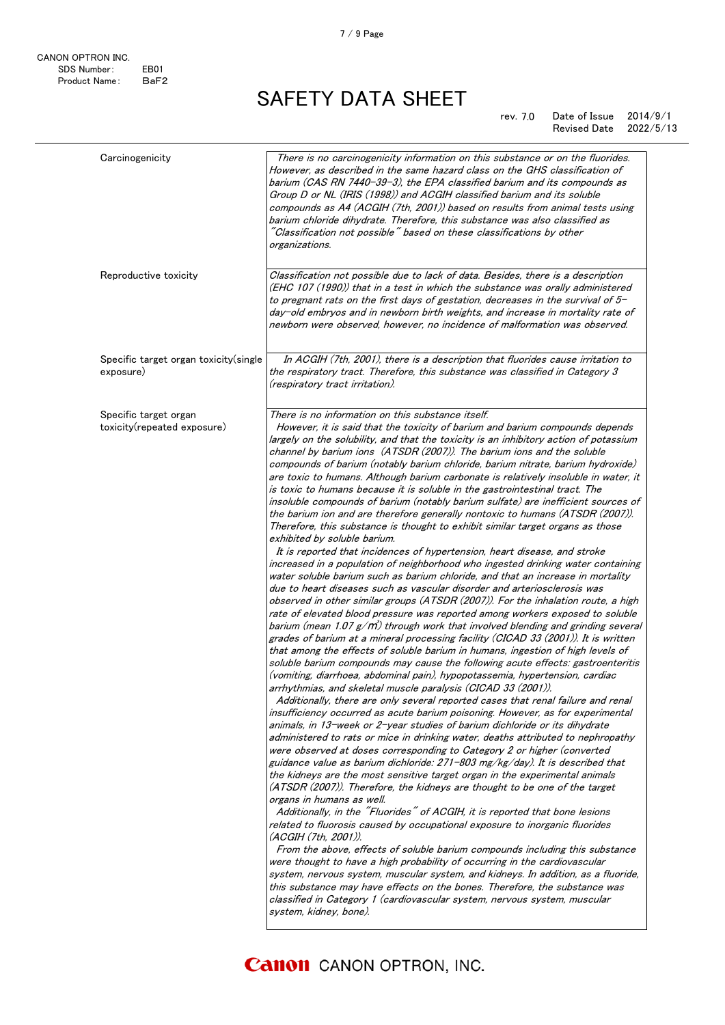### rev. 7.0 Date of Issue 2014/9/1 Revised Date 2022/5/13

| Carcinogenicity                                      | There is no carcinogenicity information on this substance or on the fluorides.<br>However, as described in the same hazard class on the GHS classification of<br>barium (CAS RN 7440-39-3), the EPA classified barium and its compounds as<br>Group D or NL (IRIS (1998)) and ACGIH classified barium and its soluble<br>compounds as A4 (ACGIH (7th, 2001)) based on results from animal tests using<br>barium chloride dihydrate. Therefore, this substance was also classified as<br>$\H'$ Classification not possible $\H'$ based on these classifications by other<br>organizations.                                                                                                                                                                                                                                                                                                                                                                                                                                                                                                                                                                                                                                                                                                                                                                                                                                                                                                                                                                                                                                                                                                                                                                                                                                                                                                                                                                                                                                                                                                                                                                                                                                                                                                                                                                                                                                                                                                                                                                                                                                                                                                                                                                                                                                                                                                                                                                                                                                                                                                                                                                                                   |
|------------------------------------------------------|---------------------------------------------------------------------------------------------------------------------------------------------------------------------------------------------------------------------------------------------------------------------------------------------------------------------------------------------------------------------------------------------------------------------------------------------------------------------------------------------------------------------------------------------------------------------------------------------------------------------------------------------------------------------------------------------------------------------------------------------------------------------------------------------------------------------------------------------------------------------------------------------------------------------------------------------------------------------------------------------------------------------------------------------------------------------------------------------------------------------------------------------------------------------------------------------------------------------------------------------------------------------------------------------------------------------------------------------------------------------------------------------------------------------------------------------------------------------------------------------------------------------------------------------------------------------------------------------------------------------------------------------------------------------------------------------------------------------------------------------------------------------------------------------------------------------------------------------------------------------------------------------------------------------------------------------------------------------------------------------------------------------------------------------------------------------------------------------------------------------------------------------------------------------------------------------------------------------------------------------------------------------------------------------------------------------------------------------------------------------------------------------------------------------------------------------------------------------------------------------------------------------------------------------------------------------------------------------------------------------------------------------------------------------------------------------------------------------------------------------------------------------------------------------------------------------------------------------------------------------------------------------------------------------------------------------------------------------------------------------------------------------------------------------------------------------------------------------------------------------------------------------------------------------------------------------|
| Reproductive toxicity                                | Classification not possible due to lack of data. Besides, there is a description<br>(EHC 107 (1990)) that in a test in which the substance was orally administered<br>to pregnant rats on the first days of gestation, decreases in the survival of $5-$<br>day-old embryos and in newborn birth weights, and increase in mortality rate of<br>newborn were observed, however, no incidence of malformation was observed.                                                                                                                                                                                                                                                                                                                                                                                                                                                                                                                                                                                                                                                                                                                                                                                                                                                                                                                                                                                                                                                                                                                                                                                                                                                                                                                                                                                                                                                                                                                                                                                                                                                                                                                                                                                                                                                                                                                                                                                                                                                                                                                                                                                                                                                                                                                                                                                                                                                                                                                                                                                                                                                                                                                                                                   |
| Specific target organ toxicity(single<br>exposure)   | In ACGIH (7th, 2001), there is a description that fluorides cause irritation to<br>the respiratory tract. Therefore, this substance was classified in Category 3<br>(respiratory tract irritation).                                                                                                                                                                                                                                                                                                                                                                                                                                                                                                                                                                                                                                                                                                                                                                                                                                                                                                                                                                                                                                                                                                                                                                                                                                                                                                                                                                                                                                                                                                                                                                                                                                                                                                                                                                                                                                                                                                                                                                                                                                                                                                                                                                                                                                                                                                                                                                                                                                                                                                                                                                                                                                                                                                                                                                                                                                                                                                                                                                                         |
| Specific target organ<br>toxicity(repeated exposure) | There is no information on this substance itself.<br>However, it is said that the toxicity of barium and barium compounds depends<br>largely on the solubility, and that the toxicity is an inhibitory action of potassium<br>channel by barium ions (ATSDR (2007)). The barium ions and the soluble<br>compounds of barium (notably barium chloride, barium nitrate, barium hydroxide)<br>are toxic to humans. Although barium carbonate is relatively insoluble in water, it<br>is toxic to humans because it is soluble in the gastrointestinal tract. The<br>insoluble compounds of barium (notably barium sulfate) are inefficient sources of<br>the barium ion and are therefore generally nontoxic to humans (ATSDR (2007)).<br>Therefore, this substance is thought to exhibit similar target organs as those<br>exhibited by soluble barium.<br>It is reported that incidences of hypertension, heart disease, and stroke<br>increased in a population of neighborhood who ingested drinking water containing<br>water soluble barium such as barium chloride, and that an increase in mortality<br>due to heart diseases such as vascular disorder and arteriosclerosis was<br>observed in other similar groups (ATSDR (2007)). For the inhalation route, a high<br>rate of elevated blood pressure was reported among workers exposed to soluble<br>barium (mean 1.07 $g/m$ ) through work that involved blending and grinding several<br>grades of barium at a mineral processing facility (CICAD 33 (2001)). It is written<br>that among the effects of soluble barium in humans, ingestion of high levels of<br>soluble barium compounds may cause the following acute effects: gastroenteritis<br>(vomiting, diarrhoea, abdominal pain), hypopotassemia, hypertension, cardiac<br>arrhythmias, and skeletal muscle paralysis (CICAD 33 (2001)).<br>Additionally, there are only several reported cases that renal failure and renal<br>insufficiency occurred as acute barium poisoning. However, as for experimental<br>animals, in 13-week or 2-year studies of barium dichloride or its dihydrate<br>administered to rats or mice in drinking water, deaths attributed to nephropathy<br>were observed at doses corresponding to Category 2 or higher (converted<br>guidance value as barium dichloride: 271-803 mg/kg/day). It is described that<br>the kidneys are the most sensitive target organ in the experimental animals<br>(ATSDR (2007)). Therefore, the kidneys are thought to be one of the target<br>organs in humans as well.<br>Additionally, in the "Fluorides" of ACGIH, it is reported that bone lesions<br>related to fluorosis caused by occupational exposure to inorganic fluorides<br>(ACGIH (7th, 2001)).<br>From the above, effects of soluble barium compounds including this substance<br>were thought to have a high probability of occurring in the cardiovascular<br>system, nervous system, muscular system, and kidneys. In addition, as a fluoride,<br>this substance may have effects on the bones. Therefore, the substance was<br>classified in Category 1 (cardiovascular system, nervous system, muscular<br>system, kidney, bone). |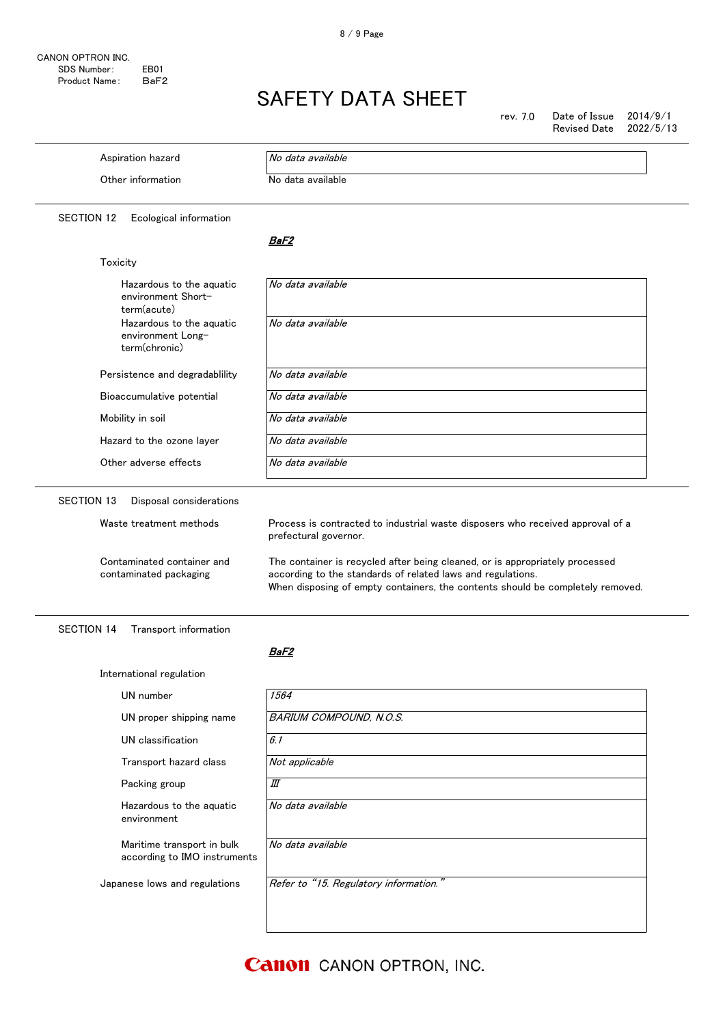rev. 7.0 Date of Issue 2014/9/1 Revised Date 2022/5/13

| Aspiration hazard                                                               | No data available                                                                                                                                                                                                                                                                                                                        |
|---------------------------------------------------------------------------------|------------------------------------------------------------------------------------------------------------------------------------------------------------------------------------------------------------------------------------------------------------------------------------------------------------------------------------------|
| Other information                                                               | No data available                                                                                                                                                                                                                                                                                                                        |
| <b>SECTION 12</b><br>Ecological information                                     |                                                                                                                                                                                                                                                                                                                                          |
|                                                                                 | BaF2                                                                                                                                                                                                                                                                                                                                     |
| Toxicity                                                                        |                                                                                                                                                                                                                                                                                                                                          |
| Hazardous to the aquatic<br>environment Short-<br>term(acute)                   | No data available                                                                                                                                                                                                                                                                                                                        |
| Hazardous to the aquatic<br>environment Long-<br>term(chronic)                  | No data available                                                                                                                                                                                                                                                                                                                        |
| Persistence and degradablility                                                  | No data available                                                                                                                                                                                                                                                                                                                        |
| Bioaccumulative potential                                                       | No data available                                                                                                                                                                                                                                                                                                                        |
| Mobility in soil                                                                | No data available                                                                                                                                                                                                                                                                                                                        |
| Hazard to the ozone layer                                                       | No data available                                                                                                                                                                                                                                                                                                                        |
| Other adverse effects                                                           | No data available                                                                                                                                                                                                                                                                                                                        |
| Waste treatment methods<br>Contaminated container and<br>contaminated packaging | Process is contracted to industrial waste disposers who received approval of a<br>prefectural governor.<br>The container is recycled after being cleaned, or is appropriately processed<br>according to the standards of related laws and regulations.<br>When disposing of empty containers, the contents should be completely removed. |
| <b>SECTION 14</b><br>Transport information                                      |                                                                                                                                                                                                                                                                                                                                          |
|                                                                                 | BaF2                                                                                                                                                                                                                                                                                                                                     |
| International regulation                                                        |                                                                                                                                                                                                                                                                                                                                          |
| UN number                                                                       | 1564                                                                                                                                                                                                                                                                                                                                     |
| UN proper shipping name                                                         | <b>BARIUM COMPOUND, N.O.S.</b>                                                                                                                                                                                                                                                                                                           |
| UN classification                                                               | 6.1                                                                                                                                                                                                                                                                                                                                      |
| Transport hazard class                                                          | Not applicable                                                                                                                                                                                                                                                                                                                           |
| Packing group                                                                   | Ш                                                                                                                                                                                                                                                                                                                                        |
| Hazardous to the aquatic<br>environment                                         | No data available                                                                                                                                                                                                                                                                                                                        |
| Maritime transport in bulk                                                      | No data available                                                                                                                                                                                                                                                                                                                        |

according to IMO instruments

Japanese lows and regulations  $\sqrt{Refer\ to\ "15. \ Regulatory information.}$